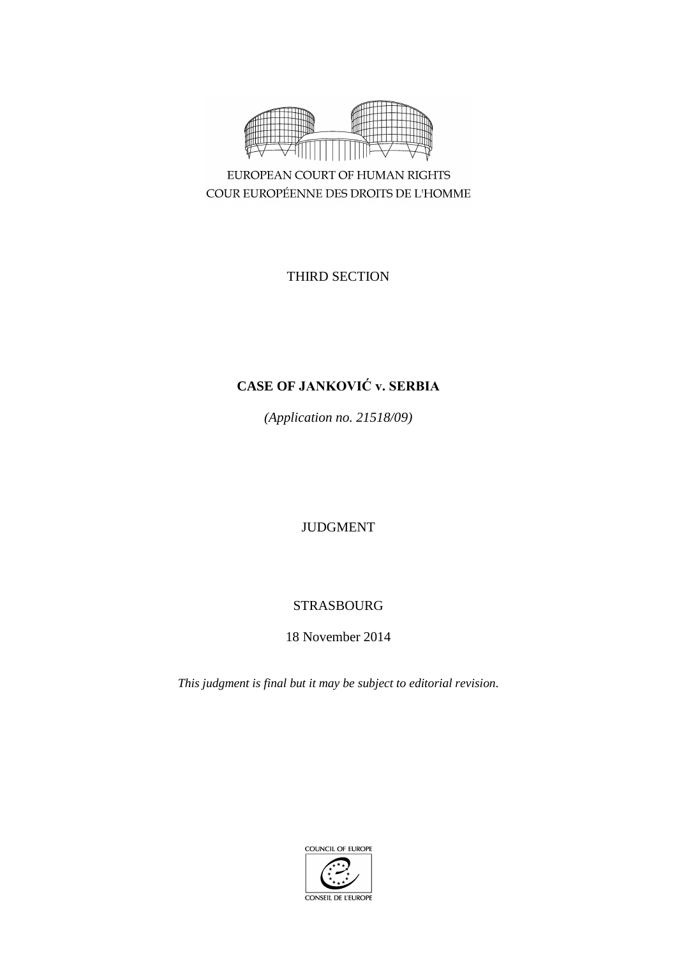

COUR EUROPÉENNE DES DROITS DE L'HOMME

THIRD SECTION

# **CASE OF JANKOVIĆ v. SERBIA**

*(Application no. 21518/09)*

JUDGMENT

# STRASBOURG

18 November 2014

*This judgment is final but it may be subject to editorial revision.*

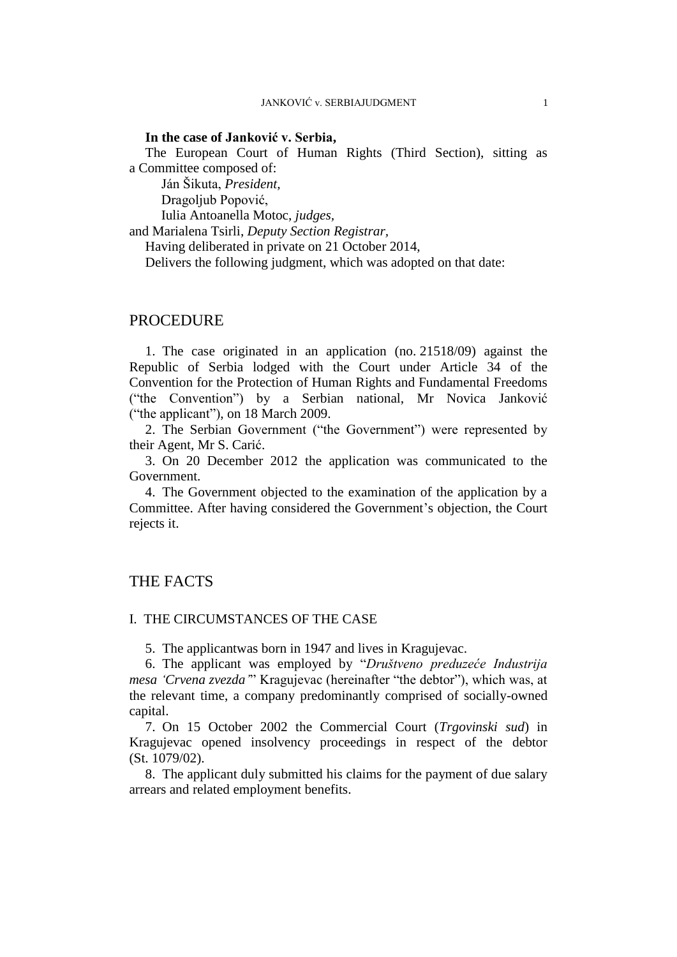## **In the case of Janković v. Serbia,**

The European Court of Human Rights (Third Section), sitting as a Committee composed of:

Ján Šikuta, *President,*

Dragoljub Popović,

Iulia Antoanella Motoc, *judges,*

and Marialena Tsirli, *Deputy Section Registrar,*

Having deliberated in private on 21 October 2014,

Delivers the following judgment, which was adopted on that date:

## PROCEDURE

1. The case originated in an application (no. 21518/09) against the Republic of Serbia lodged with the Court under Article 34 of the Convention for the Protection of Human Rights and Fundamental Freedoms ("the Convention") by a Serbian national, Mr Novica Janković ("the applicant"), on 18 March 2009.

2. The Serbian Government ("the Government") were represented by their Agent, Mr S. Carić.

3. On 20 December 2012 the application was communicated to the Government.

4. The Government objected to the examination of the application by a Committee. After having considered the Government's objection, the Court rejects it.

## THE FACTS

## I. THE CIRCUMSTANCES OF THE CASE

5. The applicantwas born in 1947 and lives in Kragujevac.

6. The applicant was employed by "*Društveno preduzeće Industrija mesa 'Crvena zvezda'*" Kragujevac (hereinafter "the debtor"), which was, at the relevant time, a company predominantly comprised of socially-owned capital.

7. On 15 October 2002 the Commercial Court (*Trgovinski sud*) in Kragujevac opened insolvency proceedings in respect of the debtor (St. 1079/02).

8. The applicant duly submitted his claims for the payment of due salary arrears and related employment benefits.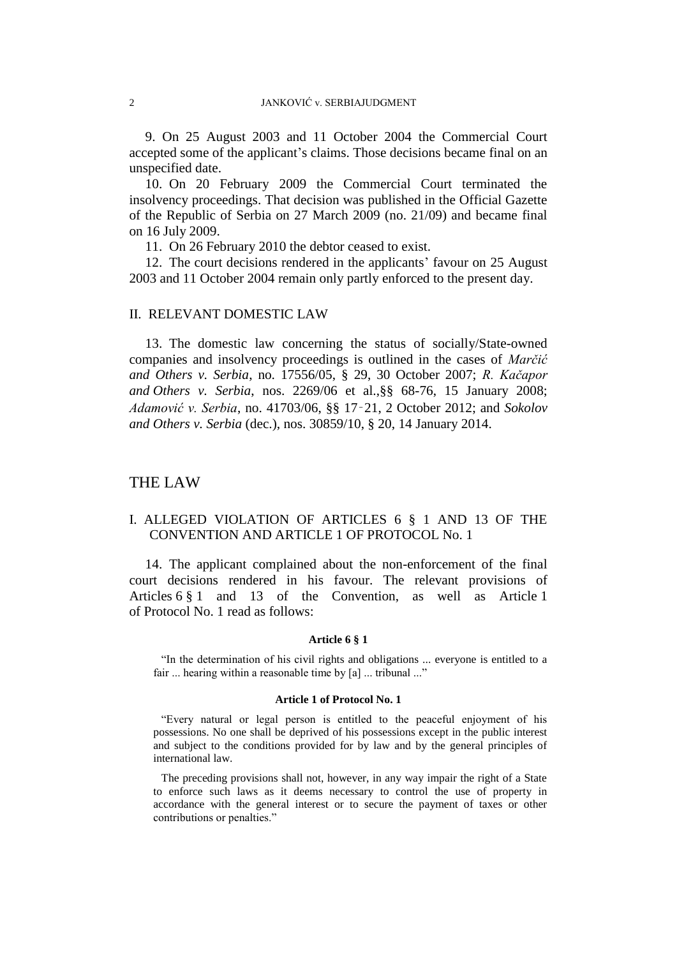9. On 25 August 2003 and 11 October 2004 the Commercial Court accepted some of the applicant's claims. Those decisions became final on an unspecified date.

10. On 20 February 2009 the Commercial Court terminated the insolvency proceedings. That decision was published in the Official Gazette of the Republic of Serbia on 27 March 2009 (no. 21/09) and became final on 16 July 2009.

11. On 26 February 2010 the debtor ceased to exist.

12. The court decisions rendered in the applicants' favour on 25 August 2003 and 11 October 2004 remain only partly enforced to the present day.

### II. RELEVANT DOMESTIC LAW

13. The domestic law concerning the status of socially/State-owned companies and insolvency proceedings is outlined in the cases of *Marčić and Others v. Serbia*, no. 17556/05, § 29, 30 October 2007; *R. Kačapor and Others v. Serbia*, nos. 2269/06 et al.,§§ 68-76, 15 January 2008; *Adamović v. Serbia*, no. 41703/06, §§ 17‑21, 2 October 2012; and *Sokolov and Others v. Serbia* (dec.), nos. 30859/10, § 20, 14 January 2014.

## THE LAW

## I. ALLEGED VIOLATION OF ARTICLES 6 § 1 AND 13 OF THE CONVENTION AND ARTICLE 1 OF PROTOCOL No. 1

14. The applicant complained about the non-enforcement of the final court decisions rendered in his favour. The relevant provisions of Articles 6 § 1 and 13 of the Convention, as well as Article 1 of Protocol No. 1 read as follows:

#### **Article 6 § 1**

"In the determination of his civil rights and obligations ... everyone is entitled to a fair ... hearing within a reasonable time by [a] ... tribunal ..."

#### **Article 1 of Protocol No. 1**

"Every natural or legal person is entitled to the peaceful enjoyment of his possessions. No one shall be deprived of his possessions except in the public interest and subject to the conditions provided for by law and by the general principles of international law.

The preceding provisions shall not, however, in any way impair the right of a State to enforce such laws as it deems necessary to control the use of property in accordance with the general interest or to secure the payment of taxes or other contributions or penalties."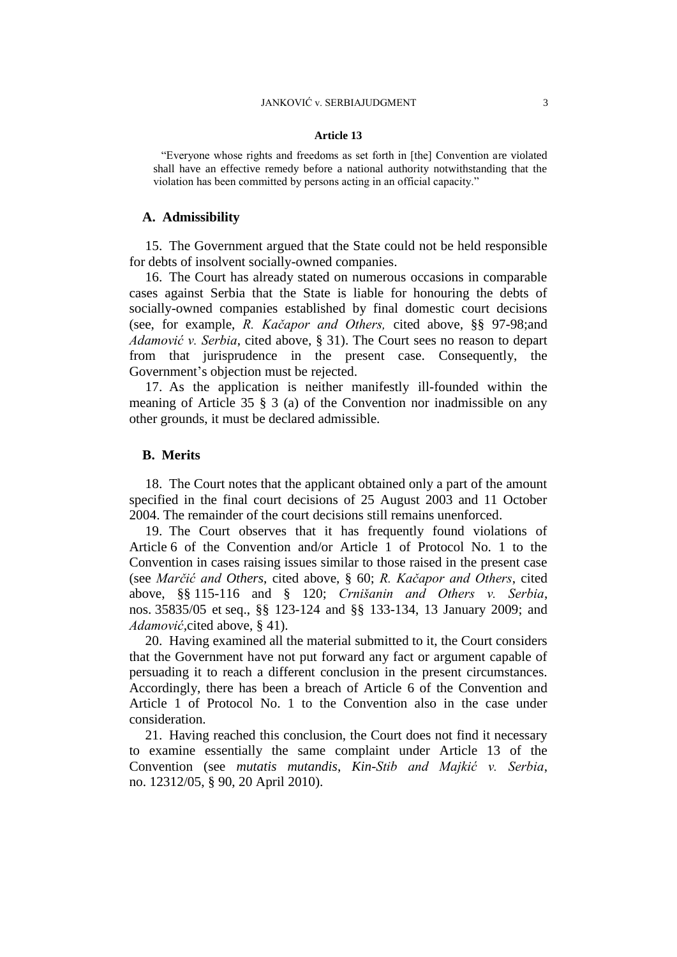#### **Article 13**

"Everyone whose rights and freedoms as set forth in [the] Convention are violated shall have an effective remedy before a national authority notwithstanding that the violation has been committed by persons acting in an official capacity."

### **A. Admissibility**

15. The Government argued that the State could not be held responsible for debts of insolvent socially-owned companies.

16. The Court has already stated on numerous occasions in comparable cases against Serbia that the State is liable for honouring the debts of socially-owned companies established by final domestic court decisions (see, for example, *R. Kačapor and Others,* cited above*,* §§ 97-98;and *Adamović v. Serbia*, cited above, § 31). The Court sees no reason to depart from that jurisprudence in the present case. Consequently, the Government's objection must be rejected.

17. As the application is neither manifestly ill-founded within the meaning of Article 35 § 3 (a) of the Convention nor inadmissible on any other grounds, it must be declared admissible.

## **B. Merits**

18. The Court notes that the applicant obtained only a part of the amount specified in the final court decisions of 25 August 2003 and 11 October 2004. The remainder of the court decisions still remains unenforced.

19. The Court observes that it has frequently found violations of Article 6 of the Convention and/or Article 1 of Protocol No. 1 to the Convention in cases raising issues similar to those raised in the present case (see *Marčić and Others*, cited above, § 60; *R. Kačapor and Others*, cited above, §§ 115-116 and § 120; *Crnišanin and Others v. Serbia*, nos. 35835/05 et seq., §§ 123-124 and §§ 133-134, 13 January 2009; and *Adamović,*cited above, § 41).

20. Having examined all the material submitted to it, the Court considers that the Government have not put forward any fact or argument capable of persuading it to reach a different conclusion in the present circumstances. Accordingly, there has been a breach of Article 6 of the Convention and Article 1 of Protocol No. 1 to the Convention also in the case under consideration.

21. Having reached this conclusion, the Court does not find it necessary to examine essentially the same complaint under Article 13 of the Convention (see *mutatis mutandis*, *Kin-Stib and Majkić v. Serbia*, no. 12312/05, § 90, 20 April 2010).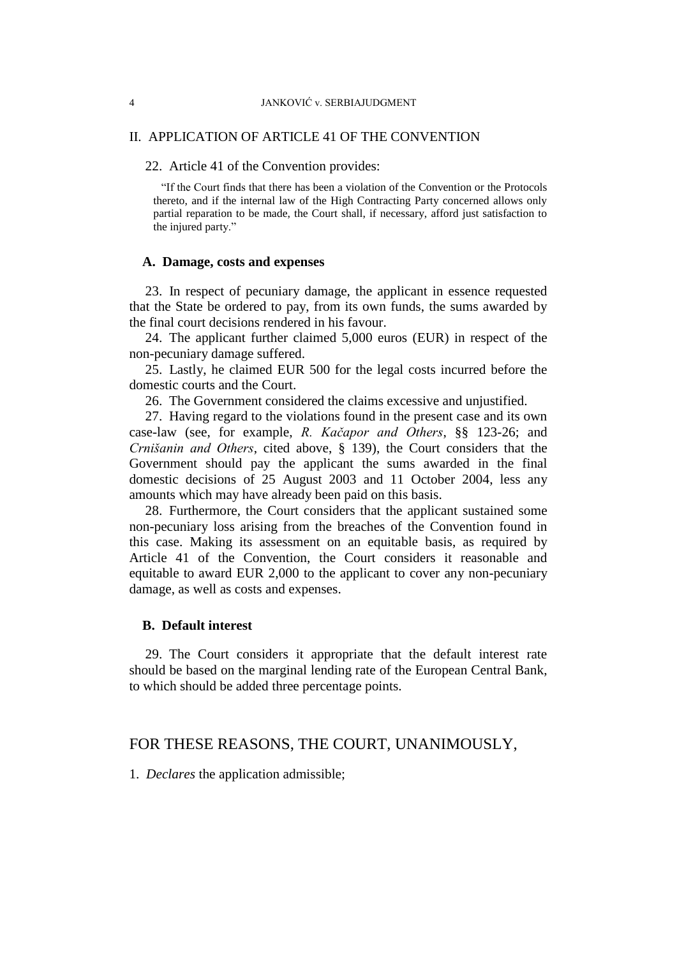## II. APPLICATION OF ARTICLE 41 OF THE CONVENTION

#### 22. Article 41 of the Convention provides:

"If the Court finds that there has been a violation of the Convention or the Protocols thereto, and if the internal law of the High Contracting Party concerned allows only partial reparation to be made, the Court shall, if necessary, afford just satisfaction to the injured party."

## **A. Damage, costs and expenses**

23. In respect of pecuniary damage, the applicant in essence requested that the State be ordered to pay, from its own funds, the sums awarded by the final court decisions rendered in his favour.

24. The applicant further claimed 5,000 euros (EUR) in respect of the non-pecuniary damage suffered.

25. Lastly, he claimed EUR 500 for the legal costs incurred before the domestic courts and the Court.

26. The Government considered the claims excessive and unjustified.

27. Having regard to the violations found in the present case and its own case-law (see, for example, *R. Kačapor and Others*, §§ 123-26; and *Crnišanin and Others*, cited above, § 139), the Court considers that the Government should pay the applicant the sums awarded in the final domestic decisions of 25 August 2003 and 11 October 2004, less any amounts which may have already been paid on this basis.

28. Furthermore, the Court considers that the applicant sustained some non-pecuniary loss arising from the breaches of the Convention found in this case. Making its assessment on an equitable basis, as required by Article 41 of the Convention, the Court considers it reasonable and equitable to award EUR 2,000 to the applicant to cover any non-pecuniary damage, as well as costs and expenses.

## **B. Default interest**

29. The Court considers it appropriate that the default interest rate should be based on the marginal lending rate of the European Central Bank, to which should be added three percentage points.

## FOR THESE REASONS, THE COURT, UNANIMOUSLY,

1. *Declares* the application admissible;